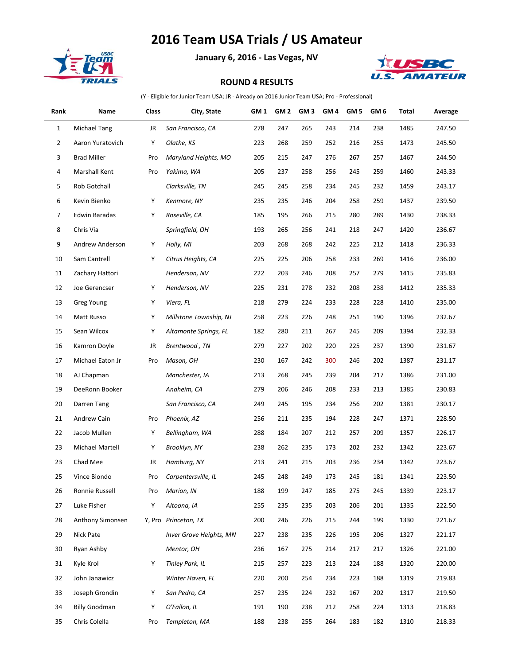## **2016 Team USA Trials / US Amateur**



**January 6, 2016 - Las Vegas, NV**



## **ROUND 4 RESULTS**

(Y - Eligible for Junior Team USA; JR - Already on 2016 Junior Team USA; Pro - Professional)

| Rank           | Name                 | Class | City, State                    | GM 1 | GM 2 | GM <sub>3</sub> | GM 4 | GM 5 | GM 6 | Total | Average |
|----------------|----------------------|-------|--------------------------------|------|------|-----------------|------|------|------|-------|---------|
| $\mathbf{1}$   | <b>Michael Tang</b>  | JR    | San Francisco, CA              | 278  | 247  | 265             | 243  | 214  | 238  | 1485  | 247.50  |
| $\overline{2}$ | Aaron Yuratovich     | Υ     | Olathe, KS                     | 223  | 268  | 259             | 252  | 216  | 255  | 1473  | 245.50  |
| 3              | <b>Brad Miller</b>   | Pro   | Maryland Heights, MO           | 205  | 215  | 247             | 276  | 267  | 257  | 1467  | 244.50  |
| 4              | Marshall Kent        | Pro   | Yakima, WA                     | 205  | 237  | 258             | 256  | 245  | 259  | 1460  | 243.33  |
| 5              | Rob Gotchall         |       | Clarksville, TN                | 245  | 245  | 258             | 234  | 245  | 232  | 1459  | 243.17  |
| 6              | Kevin Bienko         | Υ     | Kenmore, NY                    | 235  | 235  | 246             | 204  | 258  | 259  | 1437  | 239.50  |
| 7              | Edwin Baradas        | Υ     | Roseville, CA                  | 185  | 195  | 266             | 215  | 280  | 289  | 1430  | 238.33  |
| 8              | Chris Via            |       | Springfield, OH                | 193  | 265  | 256             | 241  | 218  | 247  | 1420  | 236.67  |
| 9              | Andrew Anderson      | Υ     | Holly, MI                      | 203  | 268  | 268             | 242  | 225  | 212  | 1418  | 236.33  |
| 10             | Sam Cantrell         | Υ     | Citrus Heights, CA             | 225  | 225  | 206             | 258  | 233  | 269  | 1416  | 236.00  |
| 11             | Zachary Hattori      |       | Henderson, NV                  | 222  | 203  | 246             | 208  | 257  | 279  | 1415  | 235.83  |
| 12             | Joe Gerencser        | Υ     | Henderson, NV                  | 225  | 231  | 278             | 232  | 208  | 238  | 1412  | 235.33  |
| 13             | <b>Greg Young</b>    | Υ     | Viera, FL                      | 218  | 279  | 224             | 233  | 228  | 228  | 1410  | 235.00  |
| 14             | Matt Russo           | Υ     | Millstone Township, NJ         | 258  | 223  | 226             | 248  | 251  | 190  | 1396  | 232.67  |
| 15             | Sean Wilcox          | Υ     | Altamonte Springs, FL          | 182  | 280  | 211             | 267  | 245  | 209  | 1394  | 232.33  |
| 16             | Kamron Doyle         | JR    | Brentwood, TN                  | 279  | 227  | 202             | 220  | 225  | 237  | 1390  | 231.67  |
| 17             | Michael Eaton Jr     | Pro   | Mason, OH                      | 230  | 167  | 242             | 300  | 246  | 202  | 1387  | 231.17  |
| 18             | AJ Chapman           |       | Manchester, IA                 | 213  | 268  | 245             | 239  | 204  | 217  | 1386  | 231.00  |
| 19             | DeeRonn Booker       |       | Anaheim, CA                    | 279  | 206  | 246             | 208  | 233  | 213  | 1385  | 230.83  |
| 20             | Darren Tang          |       | San Francisco, CA              | 249  | 245  | 195             | 234  | 256  | 202  | 1381  | 230.17  |
| 21             | Andrew Cain          | Pro   | Phoenix, AZ                    | 256  | 211  | 235             | 194  | 228  | 247  | 1371  | 228.50  |
| 22             | Jacob Mullen         | Υ     | Bellingham, WA                 | 288  | 184  | 207             | 212  | 257  | 209  | 1357  | 226.17  |
| 23             | Michael Martell      | Υ     | Brooklyn, NY                   | 238  | 262  | 235             | 173  | 202  | 232  | 1342  | 223.67  |
| 23             | Chad Mee             | JR    | Hamburg, NY                    | 213  | 241  | 215             | 203  | 236  | 234  | 1342  | 223.67  |
| 25             | Vince Biondo         | Pro   | Carpentersville, IL            | 245  | 248  | 249             | 173  | 245  | 181  | 1341  | 223.50  |
| 26             | Ronnie Russell       | Pro   | Marion, IN                     | 188  | 199  | 247             | 185  | 275  | 245  | 1339  | 223.17  |
| 27             | Luke Fisher          | Υ     | Altoona, IA                    | 255  | 235  | 235             | 203  | 206  | 201  | 1335  | 222.50  |
| 28             | Anthony Simonsen     |       | Y, Pro Princeton, TX           | 200  | 246  | 226             | 215  | 244  | 199  | 1330  | 221.67  |
| 29             | Nick Pate            |       | <b>Inver Grove Heights, MN</b> | 227  | 238  | 235             | 226  | 195  | 206  | 1327  | 221.17  |
| 30             | Ryan Ashby           |       | Mentor, OH                     | 236  | 167  | 275             | 214  | 217  | 217  | 1326  | 221.00  |
| 31             | Kyle Krol            | Υ     | Tinley Park, IL                | 215  | 257  | 223             | 213  | 224  | 188  | 1320  | 220.00  |
| 32             | John Janawicz        |       | Winter Haven, FL               | 220  | 200  | 254             | 234  | 223  | 188  | 1319  | 219.83  |
| 33             | Joseph Grondin       | Υ     | San Pedro, CA                  | 257  | 235  | 224             | 232  | 167  | 202  | 1317  | 219.50  |
| 34             | <b>Billy Goodman</b> | Υ     | O'Fallon, IL                   | 191  | 190  | 238             | 212  | 258  | 224  | 1313  | 218.83  |
| 35             | Chris Colella        | Pro   | Templeton, MA                  | 188  | 238  | 255             | 264  | 183  | 182  | 1310  | 218.33  |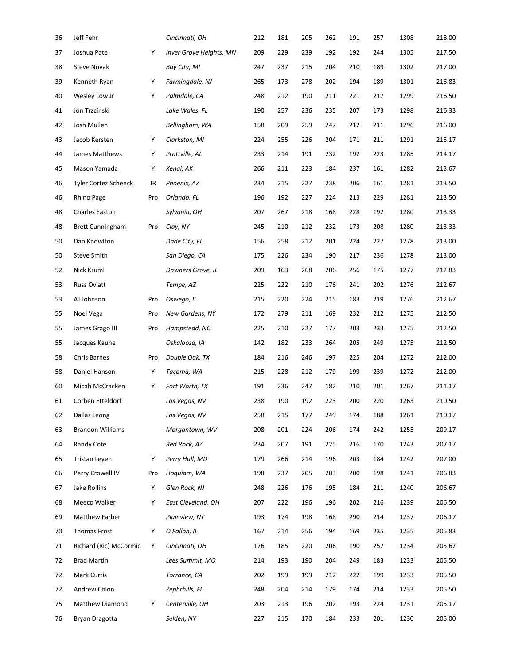| 36 | Jeff Fehr               |     | Cincinnati, OH          | 212 | 181 | 205 | 262 | 191 | 257 | 1308 | 218.00 |
|----|-------------------------|-----|-------------------------|-----|-----|-----|-----|-----|-----|------|--------|
| 37 | Joshua Pate             | Υ   | Inver Grove Heights, MN | 209 | 229 | 239 | 192 | 192 | 244 | 1305 | 217.50 |
| 38 | <b>Steve Novak</b>      |     | Bay City, MI            | 247 | 237 | 215 | 204 | 210 | 189 | 1302 | 217.00 |
| 39 | Kenneth Ryan            | Υ   | Farmingdale, NJ         | 265 | 173 | 278 | 202 | 194 | 189 | 1301 | 216.83 |
| 40 | Wesley Low Jr           | Υ   | Palmdale, CA            | 248 | 212 | 190 | 211 | 221 | 217 | 1299 | 216.50 |
| 41 | Jon Trzcinski           |     | Lake Wales, FL          | 190 | 257 | 236 | 235 | 207 | 173 | 1298 | 216.33 |
| 42 | Josh Mullen             |     | Bellingham, WA          | 158 | 209 | 259 | 247 | 212 | 211 | 1296 | 216.00 |
| 43 | Jacob Kersten           | Υ   | Clarkston, MI           | 224 | 255 | 226 | 204 | 171 | 211 | 1291 | 215.17 |
| 44 | James Matthews          | Υ   | Prattville, AL          | 233 | 214 | 191 | 232 | 192 | 223 | 1285 | 214.17 |
| 45 | Mason Yamada            | Υ   | Kenai, AK               | 266 | 211 | 223 | 184 | 237 | 161 | 1282 | 213.67 |
| 46 | Tyler Cortez Schenck    | JR  | Phoenix, AZ             | 234 | 215 | 227 | 238 | 206 | 161 | 1281 | 213.50 |
| 46 | Rhino Page              | Pro | Orlando, FL             | 196 | 192 | 227 | 224 | 213 | 229 | 1281 | 213.50 |
| 48 | Charles Easton          |     | Sylvania, OH            | 207 | 267 | 218 | 168 | 228 | 192 | 1280 | 213.33 |
| 48 | <b>Brett Cunningham</b> | Pro | Clay, NY                | 245 | 210 | 212 | 232 | 173 | 208 | 1280 | 213.33 |
| 50 | Dan Knowlton            |     | Dade City, FL           | 156 | 258 | 212 | 201 | 224 | 227 | 1278 | 213.00 |
| 50 | Steve Smith             |     | San Diego, CA           | 175 | 226 | 234 | 190 | 217 | 236 | 1278 | 213.00 |
| 52 | Nick Kruml              |     | Downers Grove, IL       | 209 | 163 | 268 | 206 | 256 | 175 | 1277 | 212.83 |
| 53 | <b>Russ Oviatt</b>      |     | Tempe, AZ               | 225 | 222 | 210 | 176 | 241 | 202 | 1276 | 212.67 |
| 53 | AJ Johnson              | Pro | Oswego, IL              | 215 | 220 | 224 | 215 | 183 | 219 | 1276 | 212.67 |
| 55 | Noel Vega               | Pro | New Gardens, NY         | 172 | 279 | 211 | 169 | 232 | 212 | 1275 | 212.50 |
| 55 | James Grago III         | Pro | Hampstead, NC           | 225 | 210 | 227 | 177 | 203 | 233 | 1275 | 212.50 |
| 55 | Jacques Kaune           |     | Oskaloosa, IA           | 142 | 182 | 233 | 264 | 205 | 249 | 1275 | 212.50 |
| 58 | Chris Barnes            | Pro | Double Oak, TX          | 184 | 216 | 246 | 197 | 225 | 204 | 1272 | 212.00 |
| 58 | Daniel Hanson           | Υ   | Tacoma, WA              | 215 | 228 | 212 | 179 | 199 | 239 | 1272 | 212.00 |
| 60 | Micah McCracken         | Υ   | Fort Worth, TX          | 191 | 236 | 247 | 182 | 210 | 201 | 1267 | 211.17 |
| 61 | Corben Etteldorf        |     | Las Vegas, NV           | 238 | 190 | 192 | 223 | 200 | 220 | 1263 | 210.50 |
| 62 | Dallas Leong            |     | Las Vegas, NV           | 258 | 215 | 177 | 249 | 174 | 188 | 1261 | 210.17 |
| 63 | <b>Brandon Williams</b> |     | Morgantown, WV          | 208 | 201 | 224 | 206 | 174 | 242 | 1255 | 209.17 |
| 64 | Randy Cote              |     | Red Rock, AZ            | 234 | 207 | 191 | 225 | 216 | 170 | 1243 | 207.17 |
| 65 | Tristan Leyen           | Υ   | Perry Hall, MD          | 179 | 266 | 214 | 196 | 203 | 184 | 1242 | 207.00 |
| 66 | Perry Crowell IV        | Pro | Hoquiam, WA             | 198 | 237 | 205 | 203 | 200 | 198 | 1241 | 206.83 |
| 67 | Jake Rollins            | Υ   | Glen Rock, NJ           | 248 | 226 | 176 | 195 | 184 | 211 | 1240 | 206.67 |
| 68 | Meeco Walker            | Υ   | East Cleveland, OH      | 207 | 222 | 196 | 196 | 202 | 216 | 1239 | 206.50 |
| 69 | Matthew Farber          |     | Plainview, NY           | 193 | 174 | 198 | 168 | 290 | 214 | 1237 | 206.17 |
| 70 | Thomas Frost            | Υ   | O Fallon, IL            | 167 | 214 | 256 | 194 | 169 | 235 | 1235 | 205.83 |
| 71 | Richard (Ric) McCormic  | Υ   | Cincinnati, OH          | 176 | 185 | 220 | 206 | 190 | 257 | 1234 | 205.67 |
| 72 | <b>Brad Martin</b>      |     | Lees Summit, MO         | 214 | 193 | 190 | 204 | 249 | 183 | 1233 | 205.50 |
| 72 | <b>Mark Curtis</b>      |     | Torrance, CA            | 202 | 199 | 199 | 212 | 222 | 199 | 1233 | 205.50 |
| 72 | Andrew Colon            |     | Zephrhills, FL          | 248 | 204 | 214 | 179 | 174 | 214 | 1233 | 205.50 |
| 75 | Matthew Diamond         | Y   | Centerville, OH         | 203 | 213 | 196 | 202 | 193 | 224 | 1231 | 205.17 |
| 76 | Bryan Dragotta          |     | Selden, NY              | 227 | 215 | 170 | 184 | 233 | 201 | 1230 | 205.00 |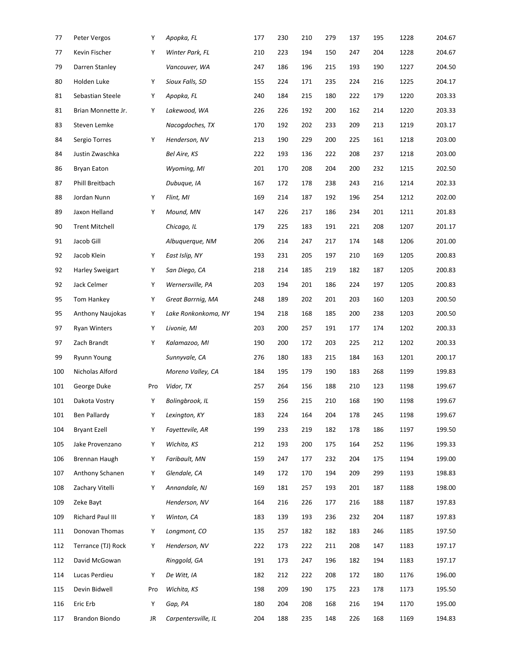| 77  | Peter Vergos          | Υ   | Apopka, FL          | 177 | 230 | 210 | 279 | 137 | 195 | 1228 | 204.67 |
|-----|-----------------------|-----|---------------------|-----|-----|-----|-----|-----|-----|------|--------|
| 77  | Kevin Fischer         | Υ   | Winter Park, FL     | 210 | 223 | 194 | 150 | 247 | 204 | 1228 | 204.67 |
| 79  | Darren Stanley        |     | Vancouver, WA       | 247 | 186 | 196 | 215 | 193 | 190 | 1227 | 204.50 |
| 80  | Holden Luke           | Υ   | Sioux Falls, SD     | 155 | 224 | 171 | 235 | 224 | 216 | 1225 | 204.17 |
| 81  | Sebastian Steele      | Υ   | Apopka, FL          | 240 | 184 | 215 | 180 | 222 | 179 | 1220 | 203.33 |
| 81  | Brian Monnette Jr.    | Y   | Lakewood, WA        | 226 | 226 | 192 | 200 | 162 | 214 | 1220 | 203.33 |
| 83  | Steven Lemke          |     | Nacogdoches, TX     | 170 | 192 | 202 | 233 | 209 | 213 | 1219 | 203.17 |
| 84  | Sergio Torres         | Υ   | Henderson, NV       | 213 | 190 | 229 | 200 | 225 | 161 | 1218 | 203.00 |
| 84  | Justin Zwaschka       |     | Bel Aire, KS        | 222 | 193 | 136 | 222 | 208 | 237 | 1218 | 203.00 |
| 86  | Bryan Eaton           |     | Wyoming, MI         | 201 | 170 | 208 | 204 | 200 | 232 | 1215 | 202.50 |
| 87  | Phill Breitbach       |     | Dubuque, IA         | 167 | 172 | 178 | 238 | 243 | 216 | 1214 | 202.33 |
| 88  | Jordan Nunn           | Υ   | Flint, MI           | 169 | 214 | 187 | 192 | 196 | 254 | 1212 | 202.00 |
| 89  | Jaxon Helland         | Υ   | Mound, MN           | 147 | 226 | 217 | 186 | 234 | 201 | 1211 | 201.83 |
| 90  | <b>Trent Mitchell</b> |     | Chicago, IL         | 179 | 225 | 183 | 191 | 221 | 208 | 1207 | 201.17 |
| 91  | Jacob Gill            |     | Albuquerque, NM     | 206 | 214 | 247 | 217 | 174 | 148 | 1206 | 201.00 |
| 92  | Jacob Klein           | Υ   | East Islip, NY      | 193 | 231 | 205 | 197 | 210 | 169 | 1205 | 200.83 |
| 92  | Harley Sweigart       | Υ   | San Diego, CA       | 218 | 214 | 185 | 219 | 182 | 187 | 1205 | 200.83 |
| 92  | Jack Celmer           | Υ   | Wernersville, PA    | 203 | 194 | 201 | 186 | 224 | 197 | 1205 | 200.83 |
| 95  | Tom Hankey            | Υ   | Great Barrnig, MA   | 248 | 189 | 202 | 201 | 203 | 160 | 1203 | 200.50 |
| 95  | Anthony Naujokas      | Υ   | Lake Ronkonkoma, NY | 194 | 218 | 168 | 185 | 200 | 238 | 1203 | 200.50 |
| 97  | <b>Ryan Winters</b>   | Υ   | Livonie, MI         | 203 | 200 | 257 | 191 | 177 | 174 | 1202 | 200.33 |
| 97  | Zach Brandt           | Υ   | Kalamazoo, MI       | 190 | 200 | 172 | 203 | 225 | 212 | 1202 | 200.33 |
| 99  | Ryunn Young           |     | Sunnyvale, CA       | 276 | 180 | 183 | 215 | 184 | 163 | 1201 | 200.17 |
| 100 | Nicholas Alford       |     | Moreno Valley, CA   | 184 | 195 | 179 | 190 | 183 | 268 | 1199 | 199.83 |
| 101 | George Duke           | Pro | Vidor, TX           | 257 | 264 | 156 | 188 | 210 | 123 | 1198 | 199.67 |
| 101 | Dakota Vostry         | Υ   | Bolingbrook, IL     | 159 | 256 | 215 | 210 | 168 | 190 | 1198 | 199.67 |
| 101 | <b>Ben Pallardy</b>   | Υ   | Lexington, KY       | 183 | 224 | 164 | 204 | 178 | 245 | 1198 | 199.67 |
| 104 | <b>Bryant Ezell</b>   | Υ   | Fayettevile, AR     | 199 | 233 | 219 | 182 | 178 | 186 | 1197 | 199.50 |
| 105 | Jake Provenzano       | Υ   | Wichita, KS         | 212 | 193 | 200 | 175 | 164 | 252 | 1196 | 199.33 |
| 106 | Brennan Haugh         | Υ   | Faribault, MN       | 159 | 247 | 177 | 232 | 204 | 175 | 1194 | 199.00 |
| 107 | Anthony Schanen       | Υ   | Glendale, CA        | 149 | 172 | 170 | 194 | 209 | 299 | 1193 | 198.83 |
| 108 | Zachary Vitelli       | Υ   | Annandale, NJ       | 169 | 181 | 257 | 193 | 201 | 187 | 1188 | 198.00 |
| 109 | Zeke Bayt             |     | Henderson, NV       | 164 | 216 | 226 | 177 | 216 | 188 | 1187 | 197.83 |
| 109 | Richard Paul III      | Υ   | Winton, CA          | 183 | 139 | 193 | 236 | 232 | 204 | 1187 | 197.83 |
| 111 | Donovan Thomas        | Υ   | Longmont, CO        | 135 | 257 | 182 | 182 | 183 | 246 | 1185 | 197.50 |
| 112 | Terrance (TJ) Rock    | Υ   | Henderson, NV       | 222 | 173 | 222 | 211 | 208 | 147 | 1183 | 197.17 |
| 112 | David McGowan         |     | Ringgold, GA        | 191 | 173 | 247 | 196 | 182 | 194 | 1183 | 197.17 |
| 114 | Lucas Perdieu         | Υ   | De Witt, IA         | 182 | 212 | 222 | 208 | 172 | 180 | 1176 | 196.00 |
| 115 | Devin Bidwell         | Pro | Wichita, KS         | 198 | 209 | 190 | 175 | 223 | 178 | 1173 | 195.50 |
| 116 | Eric Erb              | Υ   | Gap, PA             | 180 | 204 | 208 | 168 | 216 | 194 | 1170 | 195.00 |
| 117 | Brandon Biondo        | JR  | Carpentersville, IL | 204 | 188 | 235 | 148 | 226 | 168 | 1169 | 194.83 |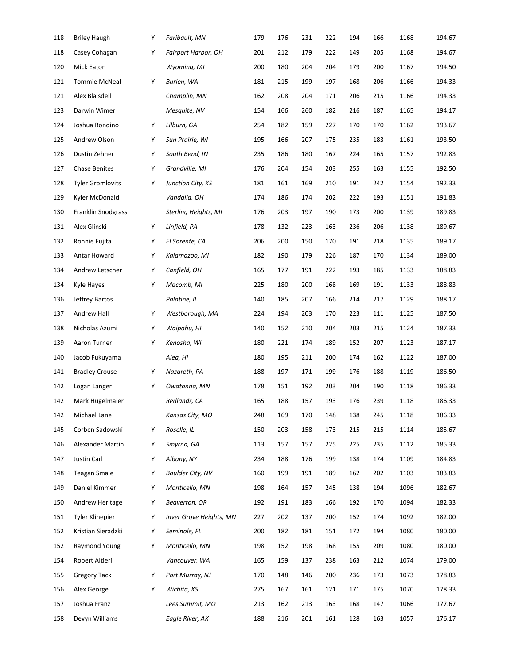| 118 | <b>Briley Haugh</b>     | Y | Faribault, MN                  | 179 | 176 | 231 | 222 | 194 | 166 | 1168 | 194.67 |
|-----|-------------------------|---|--------------------------------|-----|-----|-----|-----|-----|-----|------|--------|
| 118 | Casey Cohagan           | Υ | <b>Fairport Harbor, OH</b>     | 201 | 212 | 179 | 222 | 149 | 205 | 1168 | 194.67 |
| 120 | <b>Mick Eaton</b>       |   | Wyoming, MI                    | 200 | 180 | 204 | 204 | 179 | 200 | 1167 | 194.50 |
| 121 | <b>Tommie McNeal</b>    | Y | Burien, WA                     | 181 | 215 | 199 | 197 | 168 | 206 | 1166 | 194.33 |
| 121 | Alex Blaisdell          |   | Champlin, MN                   | 162 | 208 | 204 | 171 | 206 | 215 | 1166 | 194.33 |
| 123 | Darwin Wimer            |   | Mesquite, NV                   | 154 | 166 | 260 | 182 | 216 | 187 | 1165 | 194.17 |
| 124 | Joshua Rondino          | Y | Lilburn, GA                    | 254 | 182 | 159 | 227 | 170 | 170 | 1162 | 193.67 |
| 125 | Andrew Olson            | Y | Sun Prairie, WI                | 195 | 166 | 207 | 175 | 235 | 183 | 1161 | 193.50 |
| 126 | Dustin Zehner           | Υ | South Bend, IN                 | 235 | 186 | 180 | 167 | 224 | 165 | 1157 | 192.83 |
| 127 | <b>Chase Benites</b>    | Y | Grandville, MI                 | 176 | 204 | 154 | 203 | 255 | 163 | 1155 | 192.50 |
| 128 | <b>Tyler Gromlovits</b> | Y | Junction City, KS              | 181 | 161 | 169 | 210 | 191 | 242 | 1154 | 192.33 |
| 129 | Kyler McDonald          |   | Vandalia, OH                   | 174 | 186 | 174 | 202 | 222 | 193 | 1151 | 191.83 |
| 130 | Franklin Snodgrass      |   | <b>Sterling Heights, MI</b>    | 176 | 203 | 197 | 190 | 173 | 200 | 1139 | 189.83 |
| 131 | Alex Glinski            | Y | Linfield, PA                   | 178 | 132 | 223 | 163 | 236 | 206 | 1138 | 189.67 |
| 132 | Ronnie Fujita           | Y | El Sorente, CA                 | 206 | 200 | 150 | 170 | 191 | 218 | 1135 | 189.17 |
| 133 | Antar Howard            | Υ | Kalamazoo, MI                  | 182 | 190 | 179 | 226 | 187 | 170 | 1134 | 189.00 |
| 134 | Andrew Letscher         | Υ | Canfield, OH                   | 165 | 177 | 191 | 222 | 193 | 185 | 1133 | 188.83 |
| 134 | Kyle Hayes              | Y | Macomb, MI                     | 225 | 180 | 200 | 168 | 169 | 191 | 1133 | 188.83 |
| 136 | Jeffrey Bartos          |   | Palatine, IL                   | 140 | 185 | 207 | 166 | 214 | 217 | 1129 | 188.17 |
| 137 | Andrew Hall             | Y | Westborough, MA                | 224 | 194 | 203 | 170 | 223 | 111 | 1125 | 187.50 |
| 138 | Nicholas Azumi          | Y | Waipahu, HI                    | 140 | 152 | 210 | 204 | 203 | 215 | 1124 | 187.33 |
| 139 | Aaron Turner            | Y | Kenosha, WI                    | 180 | 221 | 174 | 189 | 152 | 207 | 1123 | 187.17 |
| 140 | Jacob Fukuyama          |   | Aiea, HI                       | 180 | 195 | 211 | 200 | 174 | 162 | 1122 | 187.00 |
| 141 | <b>Bradley Crouse</b>   | Y | Nazareth, PA                   | 188 | 197 | 171 | 199 | 176 | 188 | 1119 | 186.50 |
| 142 | Logan Langer            | Y | Owatonna, MN                   | 178 | 151 | 192 | 203 | 204 | 190 | 1118 | 186.33 |
| 142 | Mark Hugelmaier         |   | Redlands, CA                   | 165 | 188 | 157 | 193 | 176 | 239 | 1118 | 186.33 |
| 142 | Michael Lane            |   | Kansas City, MO                | 248 | 169 | 170 | 148 | 138 | 245 | 1118 | 186.33 |
| 145 | Corben Sadowski         | Y | Roselle, IL                    | 150 | 203 | 158 | 173 | 215 | 215 | 1114 | 185.67 |
| 146 | Alexander Martin        | Y | Smyrna, GA                     | 113 | 157 | 157 | 225 | 225 | 235 | 1112 | 185.33 |
| 147 | Justin Carl             | Υ | Albany, NY                     | 234 | 188 | 176 | 199 | 138 | 174 | 1109 | 184.83 |
| 148 | <b>Teagan Smale</b>     | Υ | <b>Boulder City, NV</b>        | 160 | 199 | 191 | 189 | 162 | 202 | 1103 | 183.83 |
| 149 | Daniel Kimmer           | Υ | Monticello, MN                 | 198 | 164 | 157 | 245 | 138 | 194 | 1096 | 182.67 |
| 150 | Andrew Heritage         | Y | Beaverton, OR                  | 192 | 191 | 183 | 166 | 192 | 170 | 1094 | 182.33 |
| 151 | Tyler Klinepier         | Y | <b>Inver Grove Heights, MN</b> | 227 | 202 | 137 | 200 | 152 | 174 | 1092 | 182.00 |
| 152 | Kristian Sieradzki      | Y | Seminole, FL                   | 200 | 182 | 181 | 151 | 172 | 194 | 1080 | 180.00 |
| 152 | Raymond Young           | Υ | Monticello, MN                 | 198 | 152 | 198 | 168 | 155 | 209 | 1080 | 180.00 |
| 154 | Robert Altieri          |   | Vancouver, WA                  | 165 | 159 | 137 | 238 | 163 | 212 | 1074 | 179.00 |
| 155 | <b>Gregory Tack</b>     | Y | Port Murray, NJ                | 170 | 148 | 146 | 200 | 236 | 173 | 1073 | 178.83 |
| 156 | Alex George             | Y | Wichita, KS                    | 275 | 167 | 161 | 121 | 171 | 175 | 1070 | 178.33 |
| 157 | Joshua Franz            |   | Lees Summit, MO                | 213 | 162 | 213 | 163 | 168 | 147 | 1066 | 177.67 |
| 158 | Devyn Williams          |   | Eagle River, AK                | 188 | 216 | 201 | 161 | 128 | 163 | 1057 | 176.17 |